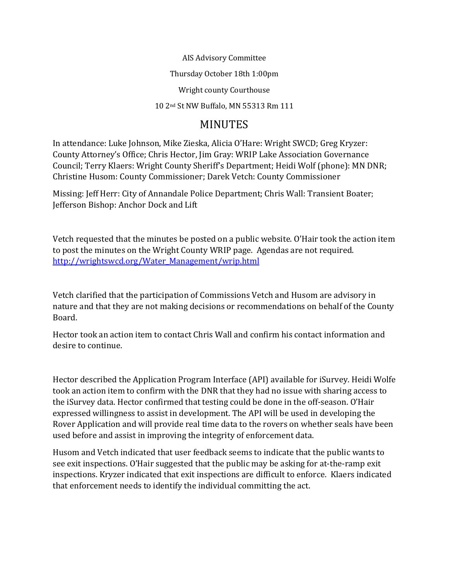AIS Advisory Committee

Thursday October 18th 1:00pm

Wright county Courthouse

10 2nd St NW Buffalo, MN 55313 Rm 111

## MINUTES

In attendance: Luke Johnson, Mike Zieska, Alicia O'Hare: Wright SWCD; Greg Kryzer: County Attorney's Office; Chris Hector, Jim Gray: WRIP Lake Association Governance Council; Terry Klaers: Wright County Sheriff's Department; Heidi Wolf (phone): MN DNR; Christine Husom: County Commissioner; Darek Vetch: County Commissioner

Missing: Jeff Herr: City of Annandale Police Department; Chris Wall: Transient Boater; Jefferson Bishop: Anchor Dock and Lift

Vetch requested that the minutes be posted on a public website. O'Hair took the action item to post the minutes on the Wright County WRIP page. Agendas are not required. [http://wrightswcd.org/Water\\_Management/wrip.html](http://wrightswcd.org/Water_Management/wrip.html)

Vetch clarified that the participation of Commissions Vetch and Husom are advisory in nature and that they are not making decisions or recommendations on behalf of the County Board.

Hector took an action item to contact Chris Wall and confirm his contact information and desire to continue.

Hector described the Application Program Interface (API) available for iSurvey. Heidi Wolfe took an action item to confirm with the DNR that they had no issue with sharing access to the iSurvey data. Hector confirmed that testing could be done in the off-season. O'Hair expressed willingness to assist in development. The API will be used in developing the Rover Application and will provide real time data to the rovers on whether seals have been used before and assist in improving the integrity of enforcement data.

Husom and Vetch indicated that user feedback seems to indicate that the public wants to see exit inspections. O'Hair suggested that the public may be asking for at-the-ramp exit inspections. Kryzer indicated that exit inspections are difficult to enforce. Klaers indicated that enforcement needs to identify the individual committing the act.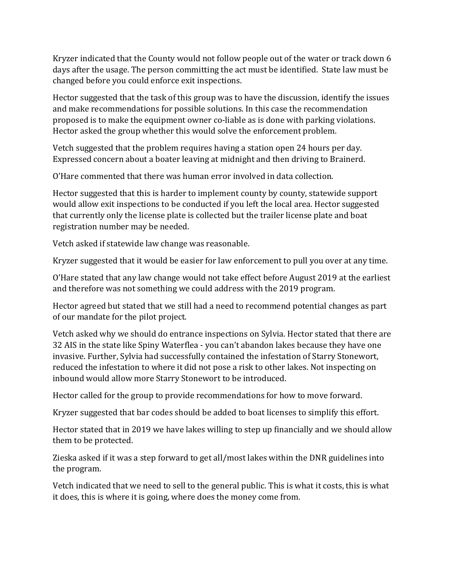Kryzer indicated that the County would not follow people out of the water or track down 6 days after the usage. The person committing the act must be identified. State law must be changed before you could enforce exit inspections.

Hector suggested that the task of this group was to have the discussion, identify the issues and make recommendations for possible solutions. In this case the recommendation proposed is to make the equipment owner co-liable as is done with parking violations. Hector asked the group whether this would solve the enforcement problem.

Vetch suggested that the problem requires having a station open 24 hours per day. Expressed concern about a boater leaving at midnight and then driving to Brainerd.

O'Hare commented that there was human error involved in data collection.

Hector suggested that this is harder to implement county by county, statewide support would allow exit inspections to be conducted if you left the local area. Hector suggested that currently only the license plate is collected but the trailer license plate and boat registration number may be needed.

Vetch asked if statewide law change was reasonable.

Kryzer suggested that it would be easier for law enforcement to pull you over at any time.

O'Hare stated that any law change would not take effect before August 2019 at the earliest and therefore was not something we could address with the 2019 program.

Hector agreed but stated that we still had a need to recommend potential changes as part of our mandate for the pilot project.

Vetch asked why we should do entrance inspections on Sylvia. Hector stated that there are 32 AIS in the state like Spiny Waterflea - you can't abandon lakes because they have one invasive. Further, Sylvia had successfully contained the infestation of Starry Stonewort, reduced the infestation to where it did not pose a risk to other lakes. Not inspecting on inbound would allow more Starry Stonewort to be introduced.

Hector called for the group to provide recommendations for how to move forward.

Kryzer suggested that bar codes should be added to boat licenses to simplify this effort.

Hector stated that in 2019 we have lakes willing to step up financially and we should allow them to be protected.

Zieska asked if it was a step forward to get all/most lakes within the DNR guidelines into the program.

Vetch indicated that we need to sell to the general public. This is what it costs, this is what it does, this is where it is going, where does the money come from.